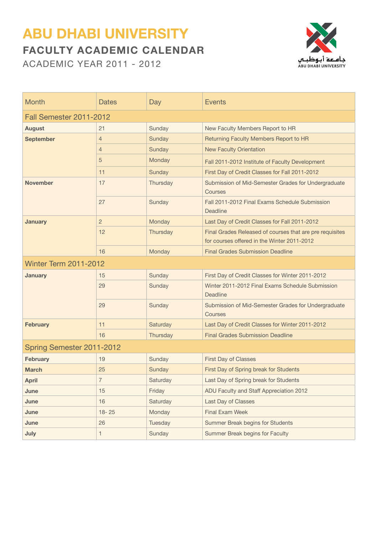## **ABU DHABI UNIVERSITY Faculty Academic Calendar**

Academic Year 2011 - 2012



| <b>Month</b>                   | Dates          | Day      | <b>Events</b>                                                                                           |  |
|--------------------------------|----------------|----------|---------------------------------------------------------------------------------------------------------|--|
| <b>Fall Semester 2011-2012</b> |                |          |                                                                                                         |  |
| <b>August</b>                  | 21             | Sunday   | New Faculty Members Report to HR                                                                        |  |
| <b>September</b>               | $\overline{4}$ | Sunday   | Returning Faculty Members Report to HR                                                                  |  |
|                                | 4              | Sunday   | <b>New Faculty Orientation</b>                                                                          |  |
|                                | 5              | Monday   | Fall 2011-2012 Institute of Faculty Development                                                         |  |
|                                | 11             | Sunday   | First Day of Credit Classes for Fall 2011-2012                                                          |  |
| <b>November</b>                | 17             | Thursday | Submission of Mid-Semester Grades for Undergraduate<br>Courses                                          |  |
|                                | 27             | Sunday   | Fall 2011-2012 Final Exams Schedule Submission<br>Deadline                                              |  |
| <b>January</b>                 | $\overline{2}$ | Monday   | Last Day of Credit Classes for Fall 2011-2012                                                           |  |
|                                | 12             | Thursday | Final Grades Released of courses that are pre requisites<br>for courses offered in the Winter 2011-2012 |  |
|                                | 16             | Monday   | <b>Final Grades Submission Deadline</b>                                                                 |  |
| <b>Winter Term 2011-2012</b>   |                |          |                                                                                                         |  |
| <b>January</b>                 | 15             | Sunday   | First Day of Credit Classes for Winter 2011-2012                                                        |  |
|                                | 29             | Sunday   | Winter 2011-2012 Final Exams Schedule Submission<br>Deadline                                            |  |
|                                | 29             | Sunday   | Submission of Mid-Semester Grades for Undergraduate<br>Courses                                          |  |
| <b>February</b>                | 11             | Saturday | Last Day of Credit Classes for Winter 2011-2012                                                         |  |
|                                | 16             | Thursday | <b>Final Grades Submission Deadline</b>                                                                 |  |
| Spring Semester 2011-2012      |                |          |                                                                                                         |  |
| <b>February</b>                | 19             | Sunday   | <b>First Day of Classes</b>                                                                             |  |
| <b>March</b>                   | 25             | Sunday   | First Day of Spring break for Students                                                                  |  |
| <b>April</b>                   | 7              | Saturday | Last Day of Spring break for Students                                                                   |  |
| June                           | 15             | Friday   | ADU Faculty and Staff Appreciation 2012                                                                 |  |
| June                           | 16             | Saturday | Last Day of Classes                                                                                     |  |
| June                           | $18 - 25$      | Monday   | <b>Final Exam Week</b>                                                                                  |  |
| June                           | 26             | Tuesday  | Summer Break begins for Students                                                                        |  |
| July                           | 1              | Sunday   | Summer Break begins for Faculty                                                                         |  |